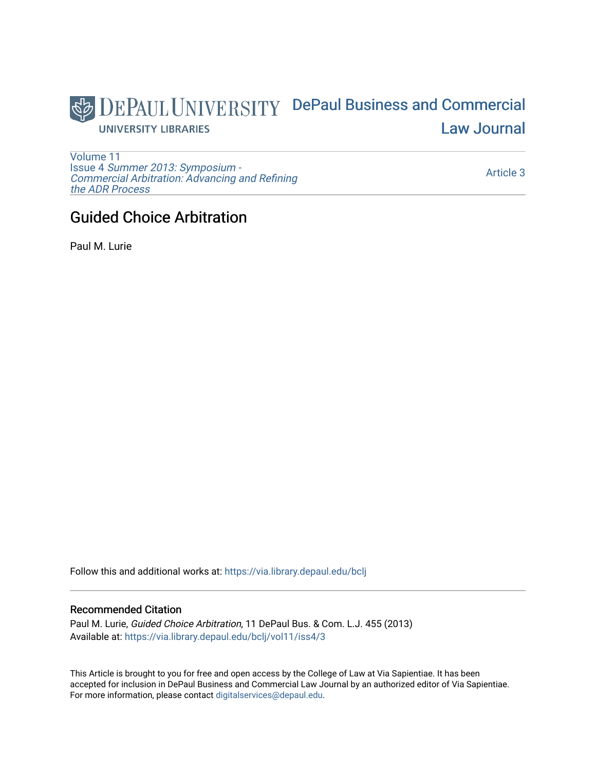

[Volume 11](https://via.library.depaul.edu/bclj/vol11) Issue 4 [Summer 2013: Symposium -](https://via.library.depaul.edu/bclj/vol11/iss4)  [Commercial Arbitration: Advancing and Refining](https://via.library.depaul.edu/bclj/vol11/iss4)  [the ADR Process](https://via.library.depaul.edu/bclj/vol11/iss4) 

[Article 3](https://via.library.depaul.edu/bclj/vol11/iss4/3) 

# Guided Choice Arbitration

Paul M. Lurie

Follow this and additional works at: [https://via.library.depaul.edu/bclj](https://via.library.depaul.edu/bclj?utm_source=via.library.depaul.edu%2Fbclj%2Fvol11%2Fiss4%2F3&utm_medium=PDF&utm_campaign=PDFCoverPages) 

## Recommended Citation

Paul M. Lurie, Guided Choice Arbitration, 11 DePaul Bus. & Com. L.J. 455 (2013) Available at: [https://via.library.depaul.edu/bclj/vol11/iss4/3](https://via.library.depaul.edu/bclj/vol11/iss4/3?utm_source=via.library.depaul.edu%2Fbclj%2Fvol11%2Fiss4%2F3&utm_medium=PDF&utm_campaign=PDFCoverPages) 

This Article is brought to you for free and open access by the College of Law at Via Sapientiae. It has been accepted for inclusion in DePaul Business and Commercial Law Journal by an authorized editor of Via Sapientiae. For more information, please contact [digitalservices@depaul.edu.](mailto:digitalservices@depaul.edu)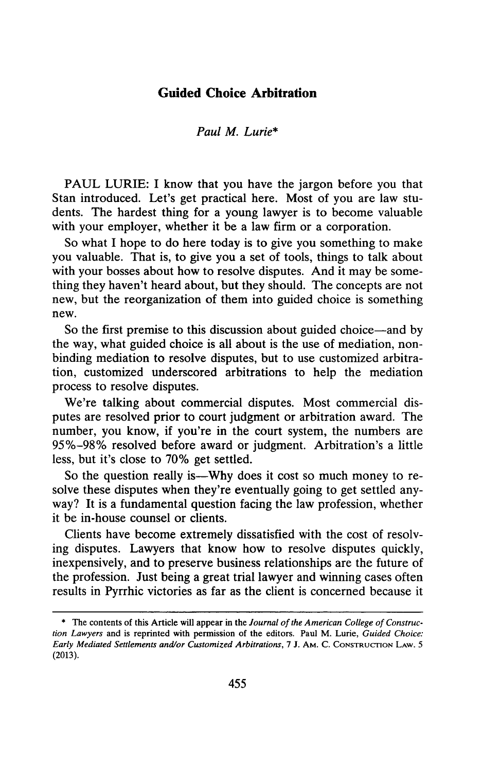# **Guided Choice Arbitration**

#### *Paul M. Lurie\**

**PAUL** LURIE: I know that you have the jargon before you that Stan introduced. Let's get practical here. Most of you are law students. The hardest thing for a young lawyer is to become valuable with your employer, whether it be a law firm or a corporation.

So what **I** hope to do here today is to give you something to make you valuable. That is, to give you a set of tools, things to talk about with your bosses about how to resolve disputes. And it may be something they haven't heard about, but they should. The concepts are not new, but the reorganization of them into guided choice is something new.

So the first premise to this discussion about guided choice-and **by** the way, what guided choice is all about is the use of mediation, nonbinding mediation to resolve disputes, but to use customized arbitration, customized underscored arbitrations to help the mediation process to resolve disputes.

We're talking about commercial disputes. Most commercial disputes are resolved prior to court judgment or arbitration award. The number, you know, if you're in the court system, the numbers are **95%-98%** resolved before award or judgment. Arbitration's a little less, but it's close to **70%** get settled.

So the question really is-Why does it cost so much money to resolve these disputes when they're eventually going to get settled anyway? It is a fundamental question facing the law profession, whether it be in-house counsel or clients.

Clients have become extremely dissatisfied with the cost of resolving disputes. Lawyers that know how to resolve disputes quickly, inexpensively, and to preserve business relationships are the future of the profession. Just being a great trial lawyer and winning cases often results in Pyrrhic victories as far as the client is concerned because it

**<sup>\*</sup>** The contents of this Article will appear in the *Journal of the American College of Construction Lawyers* and is reprinted with permission of the editors. Paul M. Lurie, *Guided Choice: Early Mediated Settlements and/or Customized Arbitrations, 7* **J. AM.** *C.* **CONSTRUCrION LAW.** *5* **(2013).**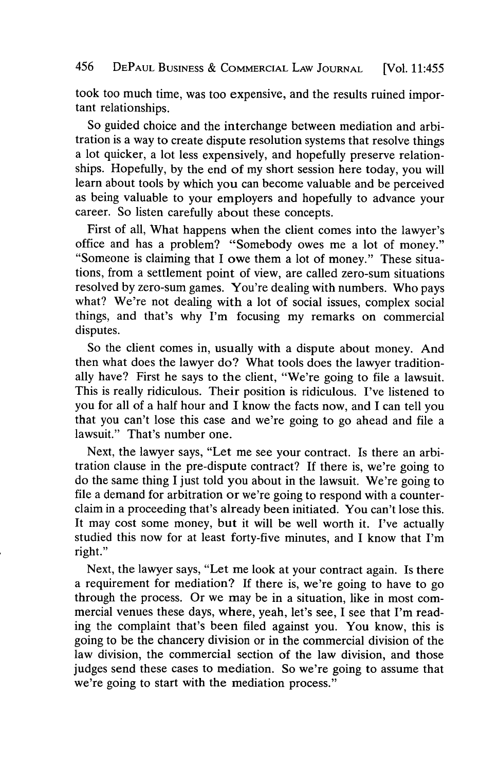took too much time, was too expensive, and the results ruined important relationships.

So guided choice and the interchange between mediation and arbitration is a way to create dispute resolution systems that resolve things a lot quicker, a lot less expensively, and hopefully preserve relationships. Hopefully, **by** the end of my short session here today, you will learn about tools **by** which you can become valuable and be perceived as being valuable to your employers and hopefully to advance your career. So listen carefully about these concepts.

First of all, What happens when the client comes into the lawyer's office and has a problem? "Somebody owes me a lot of money." "Someone is claiming that I owe them a lot of money." These situations, from a settlement point of view, are called zero-sum situations resolved **by** zero-sum games. You're dealing with numbers. Who pays what? We're not dealing with a lot of social issues, complex social things, and that's why I'm focusing my remarks on commercial disputes.

So the client comes in, usually with a dispute about money. And then what does the lawyer do? What tools does the lawyer traditionally have? First he says to the client, "We're going to file a lawsuit. This is really ridiculous. Their position is ridiculous. I've listened to you for all of a half hour and **I** know the facts now, and **I** can tell you that you can't lose this case and we're going to go ahead and file a lawsuit." That's number one.

Next, the lawyer says, "Let me see your contract. Is there an arbitration clause in the pre-dispute contract? **If** there is, we're going to do the same thing I just told you about in the lawsuit. We're going to file a demand for arbitration or we're going to respond with a counterclaim in a proceeding that's already been initiated. You can't lose this. It may cost some money, but it will be well worth it. I've actually studied this now for at least forty-five minutes, and **I** know that I'm right."

Next, the lawyer says, "Let me look at your contract again. Is there a requirement for mediation? **If** there is, we're going to have to go through the process. Or we may be in a situation, like in most commercial venues these days, where, yeah, let's see, I see that I'm reading the complaint that's been filed against you. You know, this is going to be the chancery division or in the commercial division of the law division, the commercial section of the law division, and those judges send these cases to mediation. So we're going to assume that we're going to start with the mediation process."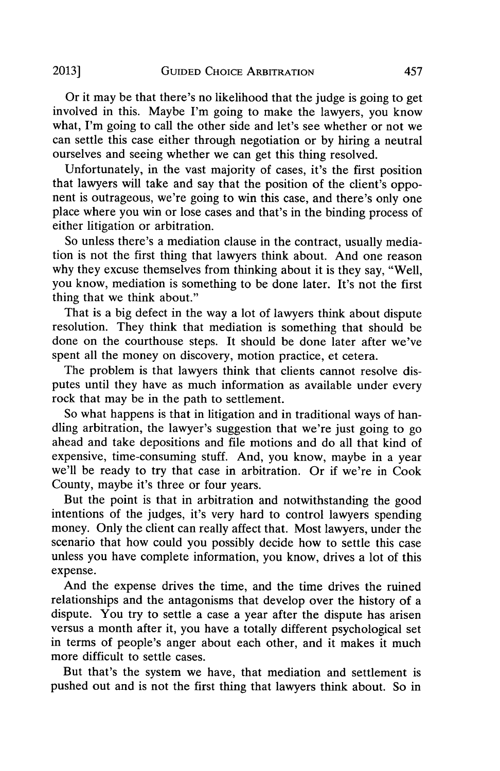Or it may be that there's no likelihood that the judge is going to get involved in this. Maybe I'm going to make the lawyers, you know what, I'm going to call the other side and let's see whether or not we can settle this case either through negotiation or **by** hiring a neutral ourselves and seeing whether we can get this thing resolved.

Unfortunately, in the vast majority of cases, it's the first position that lawyers will take and say that the position of the client's opponent is outrageous, we're going to win this case, and there's only one place where you win or lose cases and that's in the binding process of either litigation or arbitration.

So unless there's a mediation clause in the contract, usually mediation is not the first thing that lawyers think about. And one reason why they excuse themselves from thinking about it is they say, "Well, you know, mediation is something to be done later. It's not the first thing that we think about."

That is a big defect in the way a lot of lawyers think about dispute resolution. They think that mediation is something that should be done on the courthouse steps. It should be done later after we've spent all the money on discovery, motion practice, et cetera.

The problem is that lawyers think that clients cannot resolve disputes until they have as much information as available under every rock that may **be** in the path to settlement.

So what happens is that in litigation and in traditional ways of handling arbitration, the lawyer's suggestion that we're just going to go ahead and take depositions and file motions and do all that kind of expensive, time-consuming stuff. And, you know, maybe in a year we'll be ready to try that case in arbitration. Or if we're in Cook County, maybe it's three or four years.

But the point is that in arbitration and notwithstanding the good intentions of the judges, it's very hard to control lawyers spending money. Only the client can really affect that. Most lawyers, under the scenario that how could you possibly decide how to settle this case unless you have complete information, you know, drives a lot of this expense.

And the expense drives the time, and the time drives the ruined relationships and the antagonisms that develop over the history of a dispute. You try to settle a case a year after the dispute has arisen versus a month after it, you have a totally different psychological set in terms of people's anger about each other, and it makes it much more difficult to settle cases.

But that's the system we have, that mediation and settlement is pushed out and is not the first thing that lawyers think about. So in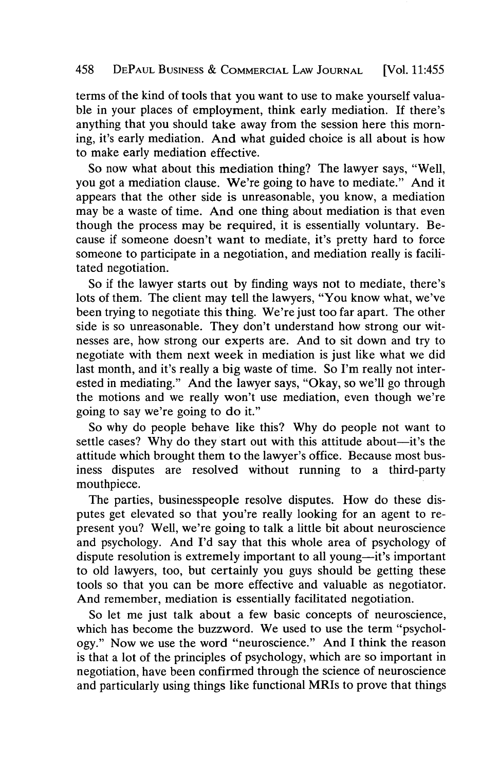## 458 **DEPAUL BUSINESS & COMMERCIAL LAw JOURNAL** [Vol. 11:455

terms of the kind of tools that you want to use to make yourself valuable in your places of employment, think early mediation. **If** there's anything that you should take away from the session here this morning, it's early mediation. And what guided choice is all about is how to make early mediation effective.

So now what about this mediation thing? The lawyer says, "Well, you got a mediation clause. We're going to have to mediate." And it appears that the other side is unreasonable, you know, a mediation may be a waste of time. And one thing about mediation is that even though the process may be required, it is essentially voluntary. Because if someone doesn't want to mediate, it's pretty hard to force someone to participate in a negotiation, and mediation really is facilitated negotiation.

So if the lawyer starts out **by** finding ways not to mediate, there's lots of them. The client may tell the lawyers, "You know what, we've been trying to negotiate this thing. We're just too far apart. The other side is so unreasonable. They don't understand how strong our witnesses are, how strong our experts are. And to sit down and try to negotiate with them next week in mediation is just like what we did last month, and it's really a big waste of time. So I'm really not interested in mediating." And the lawyer says, "Okay, so we'll go through the motions and we really won't use mediation, even though we're going to say we're going to do it."

So why do people behave like this? **Why** do people not want to settle cases? Why do they start out with this attitude about—it's the attitude which brought them to the lawyer's office. Because most business disputes are resolved without running to a third-party mouthpiece.

The parties, businesspeople resolve disputes. How do these disputes get elevated so that you're really looking for an agent to represent you? Well, we're going to talk a little bit about neuroscience and psychology. And **I'd** say that this whole area of psychology of dispute resolution is extremely important to all young—it's important to old lawyers, too, but certainly you guys should be getting these tools so that you can be more effective and valuable as negotiator. And remember, mediation is essentially facilitated negotiation.

So let me just talk about a few basic concepts of neuroscience, which has become the buzzword. We used to use the term "psychology." Now we use the word "neuroscience." And **I** think the reason is that a lot of the principles of psychology, which are so important in negotiation, have been confirmed through the science of neuroscience and particularly using things like functional MRIs to prove that things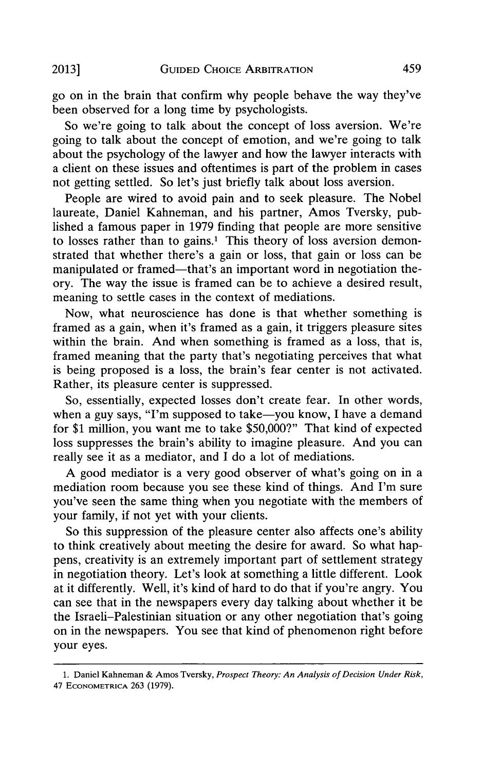go on in the brain that confirm why people behave the way they've been observed for a long time **by** psychologists.

So we're going to talk about the concept of loss aversion. We're going to talk about the concept of emotion, and we're going to talk about the psychology of the lawyer and how the lawyer interacts with a client on these issues and oftentimes is part of the problem in cases not getting settled. So let's just briefly talk about loss aversion.

People are wired to avoid pain and to seek pleasure. The Nobel laureate, Daniel Kahneman, and his partner, Amos Tversky, published a famous paper in **1979** finding that people are more sensitive to losses rather than to gains.' This theory of loss aversion demonstrated that whether there's a gain or loss, that gain or loss can be manipulated or framed—that's an important word in negotiation theory. The way the issue is framed can be to achieve a desired result, meaning to settle cases in the context of mediations.

Now, what neuroscience has done is that whether something is framed as a gain, when it's framed as a gain, it triggers pleasure sites within the brain. And when something is framed as a loss, that is, framed meaning that the party that's negotiating perceives that what is being proposed is a loss, the brain's fear center is not activated. Rather, its pleasure center is suppressed.

So, essentially, expected losses don't create fear. In other words, when a guy says, "I'm supposed to take-you know, I have a demand for **\$1** million, you want me to take **\$50,000?"** That kind of expected loss suppresses the brain's ability to imagine pleasure. And you can really see it as a mediator, and **I** do a lot of mediations.

**A** good mediator is a very good observer of what's going on in a mediation room because you see these kind of things. And I'm sure you've seen the same thing when you negotiate with the members of your family, if not yet with your clients.

So this suppression of the pleasure center also affects one's ability to think creatively about meeting the desire for award. So what happens, creativity is an extremely important part of settlement strategy in negotiation theory. Let's look at something a little different. Look at it differently. Well, it's kind of hard to do that if you're angry. You can see that in the newspapers every day talking about whether it be the Israeli-Palestinian situation or any other negotiation that's going on in the newspapers. You see that kind of phenomenon right before your eyes.

**<sup>1.</sup> Daniel Kahneman & Amos Tversky,** *Prospect Theory: An Analysis of Decision Under Risk,* **47 ECONOMETRICA 263 (1979).**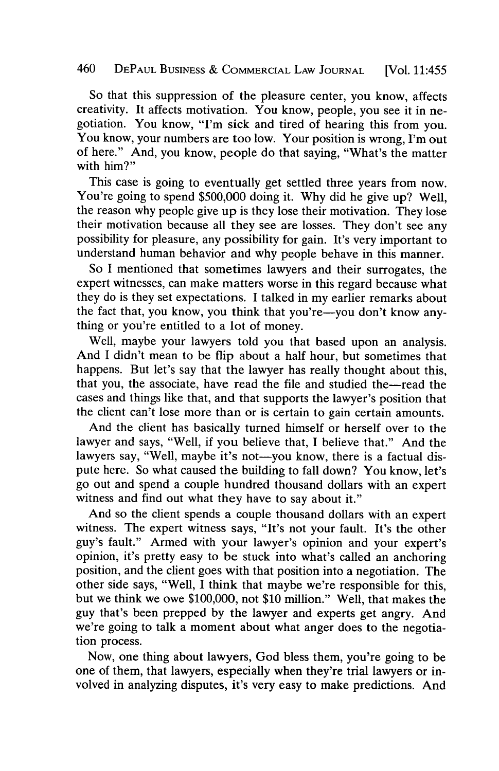# 460 **DEPAUL BUSINESS & COMMERCIAL LAw JOURNAL** [Vol. 11:455

So that this suppression of the pleasure center, you know, affects creativity. It affects motivation. You know, people, you see it in negotiation. You know, "I'm sick and tired of hearing this from you. You know, your numbers are too low. Your position is wrong, I'm out of here." And, you know, people do that saying, "What's the matter with him?"

This case is going to eventually get settled three years from now. You're going to spend **\$500,000** doing it. **Why** did he give up? Well, the reason why people give up is they lose their motivation. They lose their motivation because all they see are losses. They don't see any possibility for pleasure, any possibility for gain. It's very important to understand human behavior and why people behave in this manner.

So I mentioned that sometimes lawyers and their surrogates, the expert witnesses, can make matters worse in this regard because what they do is they set expectations. I talked in my earlier remarks about the fact that, you know, you think that you're-you don't know anything or you're entitled to a lot of money.

Well, maybe your lawyers told you that based upon an analysis. And I didn't mean to be flip about a half hour, but sometimes that happens. But let's say that the lawyer has really thought about this, that you, the associate, have read the file and studied the-read the cases and things like that, and that supports the lawyer's position that the client can't lose more than or is certain to gain certain amounts.

And the client has basically turned himself or herself over to the lawyer and says, "Well, if you believe that, I believe that." And the lawyers say, "Well, maybe it's not—you know, there is a factual dispute here. So what caused the building to fall down? You know, let's go out and spend a couple hundred thousand dollars with an expert witness and find out what they have to say about it."

And so the client spends a couple thousand dollars with an expert witness. The expert witness says, "It's not your fault. It's the other guy's fault." Armed with your lawyer's opinion and your expert's opinion, it's pretty easy to be stuck into what's called an anchoring position, and the client goes with that position into a negotiation. The other side says, "Well, **I** think that maybe we're responsible for this, but we think we owe **\$100,000,** not **\$10** million." Well, that makes the guy that's been prepped **by** the lawyer and experts get angry. And we're going to talk a moment about what anger does to the negotiation process.

Now, one thing about lawyers, God bless them, you're going to be one of them, that lawyers, especially when they're trial lawyers or involved in analyzing disputes, it's very easy to make predictions. And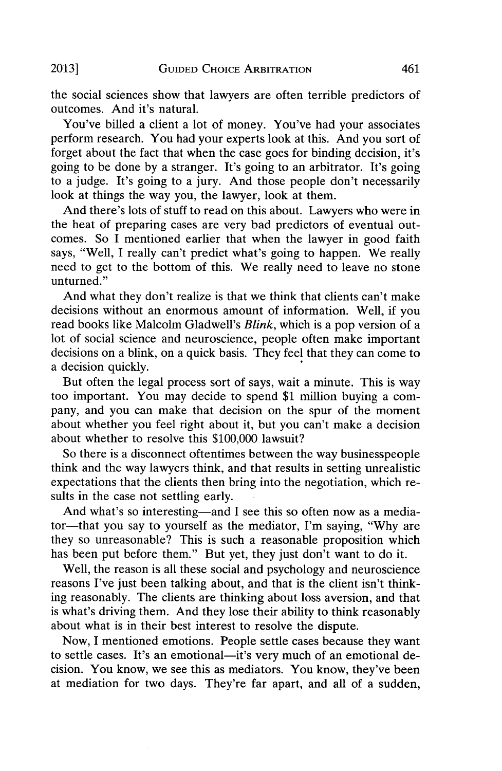the social sciences show that lawyers are often terrible predictors of outcomes. And it's natural.

You've billed a client a lot of money. You've had your associates perform research. You had your experts look at this. And you sort of forget about the fact that when the case goes for binding decision, it's going to be done **by** a stranger. It's going to an arbitrator. It's going to a judge. It's going to a jury. And those people don't necessarily look at things the way you, the lawyer, look at them.

And there's lots of stuff to read on this about. Lawyers who were in the heat of preparing cases are very bad predictors of eventual outcomes. So **I** mentioned earlier that when the lawyer in good faith says, "Well, **I** really can't predict what's going to happen. We really need to get to the bottom of this. We really need to leave no stone unturned."

And what they don't realize is that we think that clients can't make decisions without an enormous amount of information. Well, if you read books like Malcolm Gladwell's *Blink,* which is a pop version of a lot of social science and neuroscience, people often make important decisions on a blink, on a quick basis. They feel that they can come to a decision quickly.

But often the legal process sort of says, wait a minute. This is way too important. You may decide to spend **\$1** million buying a company, and you can make that decision on the spur of the moment about whether you feel right about it, but you can't make a decision about whether to resolve this **\$100,000** lawsuit?

So there is a disconnect oftentimes between the way businesspeople think and the way lawyers think, and that results in setting unrealistic expectations that the clients then bring into the negotiation, which results in the case not settling early.

And what's so interesting—and I see this so often now as a mediator-that you say to yourself as the mediator, I'm saying, **"Why** are they so unreasonable? This is such a reasonable proposition which has been put before them." But yet, they just don't want to do it.

Well, the reason is all these social and psychology and neuroscience reasons I've just been talking about, and that is the client isn't thinking reasonably. The clients are thinking about loss aversion, and that is what's driving them. And they lose their ability to think reasonably about what is in their best interest to resolve the dispute.

Now, **I** mentioned emotions. People settle cases because they want to settle cases. It's an emotional-it's very much of an emotional decision. You know, we see this as mediators. You know, they've been at mediation for two days. They're far apart, and all of a sudden,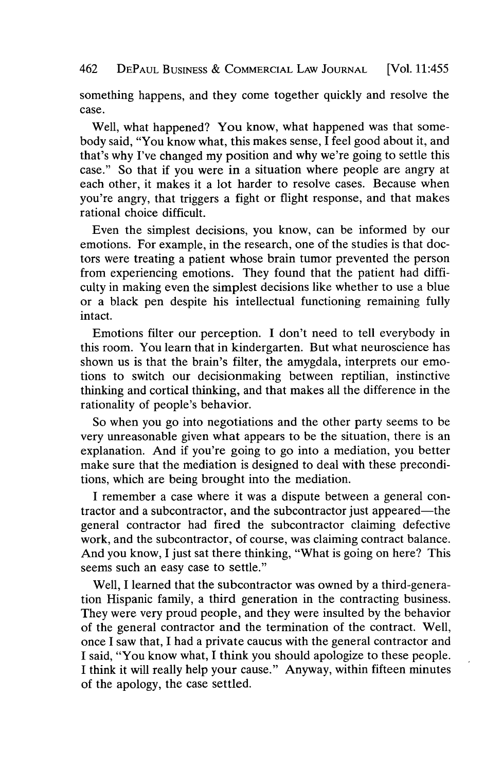462 **DEPAUL BUSINESS & COMMERCIAL LAw JOURNAL** [Vol. 11:455

something happens, and they come together quickly and resolve the case.

Well, what happened? You know, what happened was that somebody said, "You know what, this makes sense, I feel good about it, and that's why I've changed my position and why we're going to settle this case." So that if you were in a situation where people are angry at each other, it makes it a lot harder to resolve cases. Because when you're angry, that triggers a fight or flight response, and that makes rational choice difficult.

Even the simplest decisions, you know, can be informed **by** our emotions. For example, in the research, one of the studies is that doctors were treating a patient whose brain tumor prevented the person from experiencing emotions. They found that the patient had difficulty in making even the simplest decisions like whether to use a blue or a black pen despite his intellectual functioning remaining fully intact.

Emotions filter our perception. **I** don't need to tell everybody in this room. You learn that in kindergarten. But what neuroscience has shown us is that the brain's filter, the amygdala, interprets our emotions to switch our decisionmaking between reptilian, instinctive thinking and cortical thinking, and that makes all the difference in the rationality of people's behavior.

So when you go into negotiations and the other party seems to be very unreasonable given what appears to be the situation, there is an explanation. And if you're going to go into a mediation, you better make sure that the mediation is designed to deal with these preconditions, which are being brought into the mediation.

**I** remember a case where it was a dispute between a general contractor and a subcontractor, and the subcontractor just appeared—the general contractor had fired the subcontractor claiming defective work, and the subcontractor, of course, was claiming contract balance. And you know, I just sat there thinking, "What is going on here? This seems such an easy case to settle."

Well, **I** learned that the subcontractor was owned **by** a third-generation Hispanic family, a third generation in the contracting business. They were very proud people, and they were insulted **by** the behavior of the general contractor and the termination of the contract. Well, once **I** saw that, **I** had a private caucus with the general contractor and **I** said, "You know what, **I** think you should apologize to these people. **I** think it will really help your cause." Anyway, within fifteen minutes of the apology, the case settled.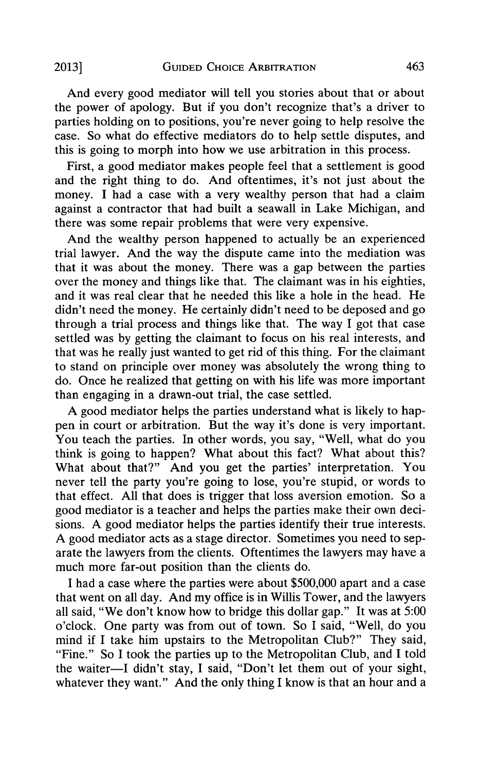And every good mediator will tell you stories about that or about the power of apology. But if **you** don't recognize that's a driver to parties holding on to positions, you're never going to help resolve the case. So what do effective mediators do to help settle disputes, and this is going to morph into how we use arbitration in this process.

First, a good mediator makes people feel that a settlement is good and the right thing to do. And oftentimes, it's not just about the money. **I** had a case with a very wealthy person that had a claim against a contractor that had built a seawall in Lake Michigan, and there was some repair problems that were very expensive.

And the wealthy person happened to actually be an experienced trial lawyer. And the way the dispute came into the mediation was that it was about the money. There was a gap between the parties over the money and things like that. The claimant was in his eighties, and it was real clear that he needed this like a hole in the head. He didn't need the money. He certainly didn't need to be deposed and go through a trial process and things like that. The way I got that case settled was **by** getting the claimant to focus on his real interests, and that was he really just wanted to get rid of this thing. For the claimant to stand on principle over money was absolutely the wrong thing to do. Once he realized that getting on with his life was more important than engaging in a drawn-out trial, the case settled.

**A** good mediator helps the parties understand what is likely to happen in court or arbitration. But the way it's done is very important. You teach the parties. In other words, you say, "Well, what do you think is going to happen? What about this fact? What about this? What about that?" And you get the parties' interpretation. You never tell the party you're going to lose, you're stupid, or words to that effect. **All** that does is trigger that loss aversion emotion. So a good mediator is a teacher and helps the parties make their own decisions. **A** good mediator helps the parties identify their true interests. **A** good mediator acts as a stage director. Sometimes you need to separate the lawyers from the clients. Oftentimes the lawyers may have a much more far-out position than the clients do.

**I** had a case where the parties were about **\$500,000** apart and a case that went on all day. And my office is in Willis Tower, and the lawyers all said, "We don't know how to bridge this dollar gap." It was at **5:00** o'clock. One party was from out of town. So I said, "Well, do you mind if **I** take him upstairs to the Metropolitan Club?" They said, "Fine." So **I** took the parties up to the Metropolitan Club, and **I** told the waiter-I didn't stay, I said, "Don't let them out of your sight, whatever they want." And the only thing I know is that an hour and a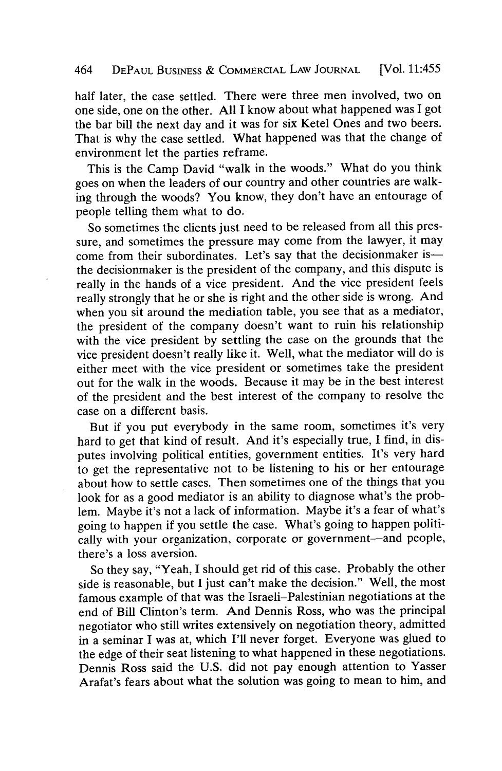## 464 **DEPAUL BUSINESS & COMMERCIAL LAW JOURNAL** [Vol. 11:455

half later, the case settled. There were three men involved, two on one side, one on the other. **All I** know about what happened was I got the bar bill the next day and it was for six Ketel Ones and two beers. That is why the case settled. What happened was that the change of environment let the parties reframe.

This is the Camp David "walk in the woods." What do you think goes on when the leaders of our country and other countries are walking through the woods? You know, they don't have an entourage of people telling them what to do.

So sometimes the clients just need to be released from all this pressure, and sometimes the pressure may come from the lawyer, it may come from their subordinates. Let's say that the decisionmaker isthe decisionmaker is the president of the company, and this dispute is really in the hands of a vice president. And the vice president feels really strongly that he or she is right and the other side is wrong. And when you sit around the mediation table, you see that as a mediator, the president of the company doesn't want to ruin his relationship with the vice president **by** settling the case on the grounds that the vice president doesn't really like it. Well, what the mediator will do is either meet with the vice president or sometimes take the president out for the walk in the woods. Because it may be in the best interest of the president and the best interest of the company to resolve the case on a different basis.

But if you put everybody in the same room, sometimes it's very hard to get that kind of result. And it's especially true, **I** find, in disputes involving political entities, government entities. It's very hard to get the representative not to be listening to his or her entourage about how to settle cases. Then sometimes one of the things that you look for as a good mediator is an ability to diagnose what's the problem. Maybe it's not a lack of information. Maybe it's a fear of what's going to happen if you settle the case. What's going to happen politically with your organization, corporate or government-and people, there's a loss aversion.

So they say, "Yeah, **I** should get rid of this case. Probably the other side is reasonable, but **I** just can't make the decision." Well, the most famous example of that was the Israeli-Palestinian negotiations at the end of Bill Clinton's term. And Dennis Ross, who was the principal negotiator who still writes extensively on negotiation theory, admitted in a seminar **I** was at, which I'll never forget. Everyone was glued to the edge of their seat listening to what happened in these negotiations. Dennis Ross said the **U.S.** did not pay enough attention to Yasser Arafat's fears about what the solution was going to mean to him, and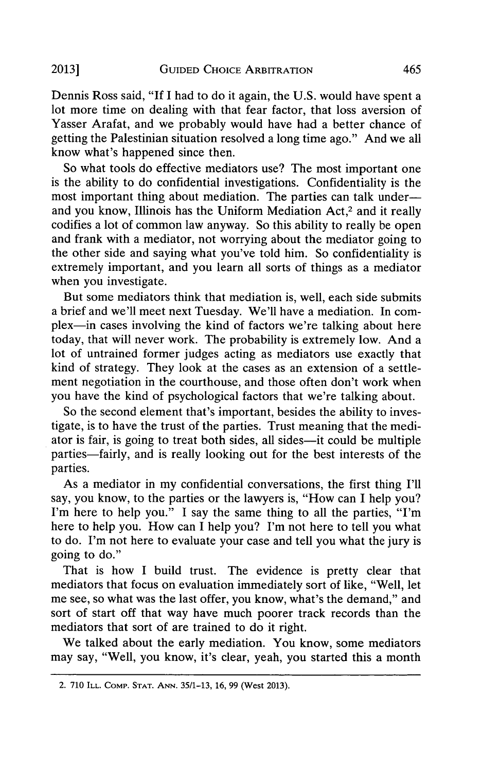Dennis Ross said, **"If I** had to do it again, the **U.S.** would have spent a lot more time on dealing with that fear factor, that loss aversion of Yasser Arafat, and we probably would have had a better chance of getting the Palestinian situation resolved a long time ago." And we all know what's happened since then.

So what tools do effective mediators use? The most important one is the ability to do confidential investigations. Confidentiality is the most important thing about mediation. The parties can talk underand you know, Illinois has the Uniform Mediation Act,<sup>2</sup> and it really codifies a lot of common law anyway. So this ability to really be open and frank with a mediator, not worrying about the mediator going to the other side and saying what you've told him. So confidentiality is extremely important, and you learn all sorts of things as a mediator when you investigate.

But some mediators think that mediation is, well, each side submits a brief and we'll meet next Tuesday. We'll have a mediation. In complex—in cases involving the kind of factors we're talking about here today, that will never work. The probability is extremely low. And a lot of untrained former judges acting as mediators use exactly that kind of strategy. They look at the cases as an extension of a settlement negotiation in the courthouse, and those often don't work when you have the kind of psychological factors that we're talking about.

So the second element that's important, besides the ability to investigate, is to have the trust of the parties. Trust meaning that the mediator is fair, is going to treat both sides, all sides-it could be multiple parties—fairly, and is really looking out for the best interests of the parties.

As a mediator in my confidential conversations, the first thing **I'll** say, you know, to the parties or the lawyers is, "How can **I** help you? I'm here to help you." **I** say the same thing to all the parties, "I'm here to help you. How can **I** help you? I'm not here to tell you what to do. I'm not here to evaluate your case and tell you what the jury is going to do."

That is how I build trust. The evidence is pretty clear that mediators that focus on evaluation immediately sort of like, "Well, let me see, so what was the last offer, you know, what's the demand," and sort of start off that way have much poorer track records than the mediators that sort of are trained to do it right.

We talked about the early mediation. You know, some mediators may say, "Well, you know, it's clear, yeah, you started this a month

<sup>2.</sup> **710 ILL. COMP. STAT. ANN. 35/1-13, 16, 99 (West 2013).**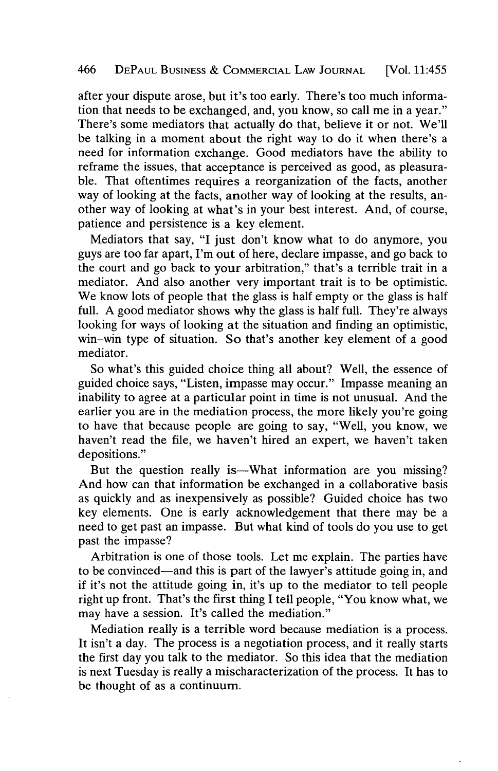after your dispute arose, but it's too early. There's too much information that needs to be exchanged, and, you know, so call me in a year." There's some mediators that actually do that, believe it or not. We'll be talking in a moment about the right way to do it when there's a need for information exchange. Good mediators have the ability to reframe the issues, that acceptance is perceived as good, as pleasurable. That oftentimes requires a reorganization of the facts, another way of looking at the facts, another way of looking at the results, another way of looking at what's in your best interest. And, of course, patience and persistence is a key element.

Mediators that say, **"I** just don't know what to do anymore, you guys are too far apart, I'm out of here, declare impasse, and go back to the court and go back to your arbitration," that's a terrible trait in a mediator. And also another very important trait is to be optimistic. We know lots of people that the glass is half empty or the glass is half full. **A** good mediator shows why the glass is half full. They're always looking for ways of looking at the situation and finding an optimistic, win-win type of situation. So that's another key element of a good mediator.

So what's this guided choice thing all about? Well, the essence of guided choice says, "Listen, impasse may occur." Impasse meaning an inability to agree at a particular point in time is not unusual. And the earlier you are in the mediation process, the more likely you're going to have that because people are going to say, "Well, you know, we haven't read the file, we haven't hired an expert, we haven't taken depositions."

But the question really is—What information are you missing? And how can that information be exchanged in a collaborative basis as quickly and as inexpensively as possible? Guided choice has two key elements. One is early acknowledgement that there may be a need to get past an impasse. But what kind of tools do you use to get past the impasse?

Arbitration is one of those tools. Let me explain. The parties have to be convinced-and this is part of the lawyer's attitude going in, and if it's not the attitude going in, it's up to the mediator to tell people right up front. That's the first thing **I** tell people, "You know what, we may have a session. It's called the mediation."

Mediation really is a terrible word because mediation is a process. It isn't a day. The process is a negotiation process, and it really starts the first day you talk to the mediator. So this idea that the mediation is next Tuesday is really a mischaracterization of the process. It has to be thought of as a continuum.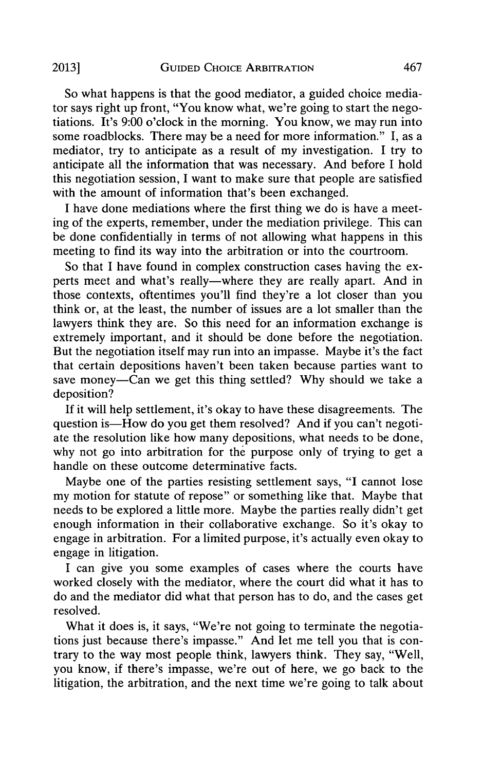So what happens is that the good mediator, a guided choice mediator says right up front, "You know what, we're going to start the negotiations. It's **9:00** o'clock in the morning. You know, we may run into some roadblocks. There may be a need for more information." **I,** as a mediator, try to anticipate as a result of my investigation. **I** try to anticipate all the information that was necessary. And before **I** hold this negotiation session, **I** want to make sure that people are satisfied with the amount of information that's been exchanged.

**I** have done mediations where the first thing we do is have a meeting of the experts, remember, under the mediation privilege. This can be done confidentially in terms of not allowing what happens in this meeting to find its way into the arbitration or into the courtroom.

So that **I** have found in complex construction cases having the experts meet and what's really-where they are really apart. And in those contexts, oftentimes you'll find they're a lot closer than you think or, at the least, the number of issues are a lot smaller than the lawyers think they are. So this need for an information exchange is extremely important, and it should be done before the negotiation. But the negotiation itself may run into an impasse. Maybe it's the fact that certain depositions haven't been taken because parties want to save money-Can we get this thing settled? **Why** should we take a deposition?

**If** it will help settlement, it's okay to have these disagreements. The question is-How do you get them resolved? And if you can't negotiate the resolution like how many depositions, what needs to be done, why not go into arbitration for the purpose only of trying to get a handle on these outcome determinative facts.

Maybe one of the parties resisting settlement says, **"I** cannot lose my motion for statute of repose" or something like that. Maybe that needs to be explored a little more. Maybe the parties really didn't get enough information in their collaborative exchange. So it's okay to engage in arbitration. For a limited purpose, it's actually even okay to engage in litigation.

I can give you some examples of cases where the courts have worked closely with the mediator, where the court did what it has to do and the mediator did what that person has to do, and the cases get resolved.

What it does is, it says, "We're not going to terminate the negotiations just because there's impasse." And let me tell you that is contrary to the way most people think, lawyers think. They say, "Well, you know, if there's impasse, we're out of here, we go back to the litigation, the arbitration, and the next time we're going to talk about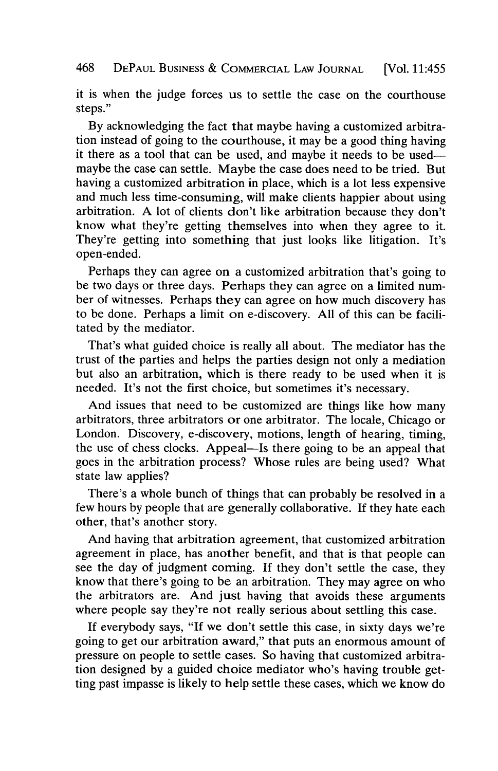468 **DEPAUL BUSINESS & COMMERCIAL LAw JOURNAL** [Vol. 11:455

it is when the judge forces us to settle the case on the courthouse steps."

**By** acknowledging the fact that maybe having a customized arbitration instead of going to the courthouse, it may be a good thing having it there as a tool that can be used, and maybe it needs to be usedmaybe the case can settle. Maybe the case does need to be tried. But having a customized arbitration in place, which is a lot less expensive and much less time-consuming, will make clients happier about using arbitration. **A** lot of clients don't like arbitration because they don't know what they're getting themselves into when they agree to it. They're getting into something that just looks like litigation. It's open-ended.

Perhaps they can agree on a customized arbitration that's going to be two days or three days. Perhaps they can agree on a limited number of witnesses. Perhaps they can agree on how much discovery has to be done. Perhaps a limit on e-discovery. **All** of this can be facilitated **by** the mediator.

That's what guided choice is really all about. The mediator has the trust of the parties and helps the parties design not only a mediation but also an arbitration, which is there ready to be used when it is needed. It's not the first choice, but sometimes it's necessary.

And issues that need to be customized are things like how many arbitrators, three arbitrators or one arbitrator. The locale, Chicago or London. Discovery, e-discovery, motions, length of hearing, timing, the use of chess clocks. Appeal—Is there going to be an appeal that goes in the arbitration process? Whose rules are being used? What state law applies?

There's a whole bunch of things that can probably be resolved in a few hours **by** people that are generally collaborative. **If** they hate each other, that's another story.

And having that arbitration agreement, that customized arbitration agreement in place, has another benefit, and that is that people can see the day of judgment coming. If they don't settle the case, they know that there's going to be an arbitration. They may agree on who the arbitrators are. And just having that avoids these arguments where people say they're not really serious about settling this case.

**If** everybody says, **"If** we don't settle this case, in sixty days we're going to get our arbitration award," that puts an enormous amount of pressure on people to settle cases. So having that customized arbitration designed **by** a guided choice mediator who's having trouble getting past impasse is likely to help settle these cases, which we know do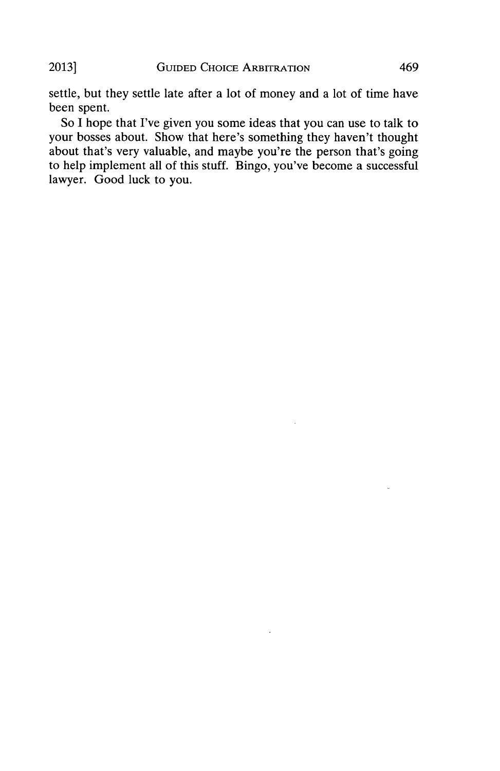settle, but they settle late after a lot of money and a lot of time have been spent.

So **I** hope that I've given you some ideas that you can use to talk to your bosses about. Show that here's something they haven't thought about that's very valuable, and maybe you're the person that's going to help implement all of this stuff. Bingo, you've become a successful lawyer. Good luck to you.